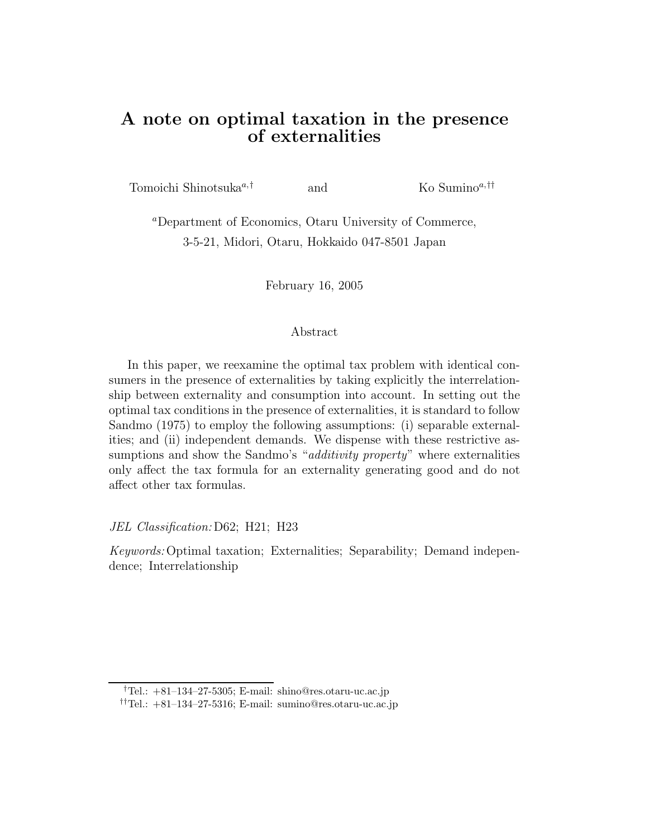### **A note on optimal taxation in the presence of externalities**

Tomoichi Shinotsuka*a,†* and Ko Sumino*a,††*

*<sup>a</sup>*Department of Economics, Otaru University of Commerce, 3-5-21, Midori, Otaru, Hokkaido 047-8501 Japan

February 16, 2005

#### Abstract

In this paper, we reexamine the optimal tax problem with identical consumers in the presence of externalities by taking explicitly the interrelationship between externality and consumption into account. In setting out the optimal tax conditions in the presence of externalities, it is standard to follow Sandmo (1975) to employ the following assumptions: (i) separable externalities; and (ii) independent demands. We dispense with these restrictive assumptions and show the Sandmo's "*additivity property*" where externalities only affect the tax formula for an externality generating good and do not affect other tax formulas.

*JEL Classification:* D62; H21; H23

*Keywords:* Optimal taxation; Externalities; Separability; Demand independence; Interrelationship

<sup>†</sup>Tel.: +81–134–27-5305; E-mail: shino@res.otaru-uc.ac.jp

<sup>††</sup>Tel.: +81–134–27-5316; E-mail: sumino@res.otaru-uc.ac.jp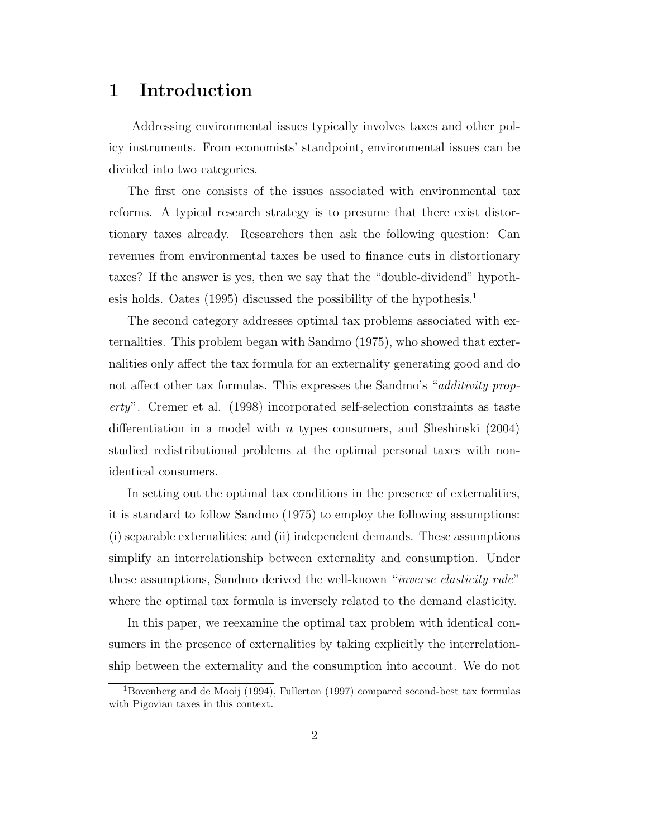## **1 Introduction**

Addressing environmental issues typically involves taxes and other policy instruments. From economists' standpoint, environmental issues can be divided into two categories.

The first one consists of the issues associated with environmental tax reforms. A typical research strategy is to presume that there exist distortionary taxes already. Researchers then ask the following question: Can revenues from environmental taxes be used to finance cuts in distortionary taxes? If the answer is yes, then we say that the "double-dividend" hypothesis holds. Oates (1995) discussed the possibility of the hypothesis.<sup>1</sup>

The second category addresses optimal tax problems associated with externalities. This problem began with Sandmo (1975), who showed that externalities only affect the tax formula for an externality generating good and do not affect other tax formulas. This expresses the Sandmo's "*additivity property*". Cremer et al. (1998) incorporated self-selection constraints as taste differentiation in a model with *n* types consumers, and Sheshinski  $(2004)$ studied redistributional problems at the optimal personal taxes with nonidentical consumers.

In setting out the optimal tax conditions in the presence of externalities, it is standard to follow Sandmo (1975) to employ the following assumptions: (i) separable externalities; and (ii) independent demands. These assumptions simplify an interrelationship between externality and consumption. Under these assumptions, Sandmo derived the well-known "*inverse elasticity rule*" where the optimal tax formula is inversely related to the demand elasticity.

In this paper, we reexamine the optimal tax problem with identical consumers in the presence of externalities by taking explicitly the interrelationship between the externality and the consumption into account. We do not

<sup>1</sup>Bovenberg and de Mooij (1994), Fullerton (1997) compared second-best tax formulas with Pigovian taxes in this context.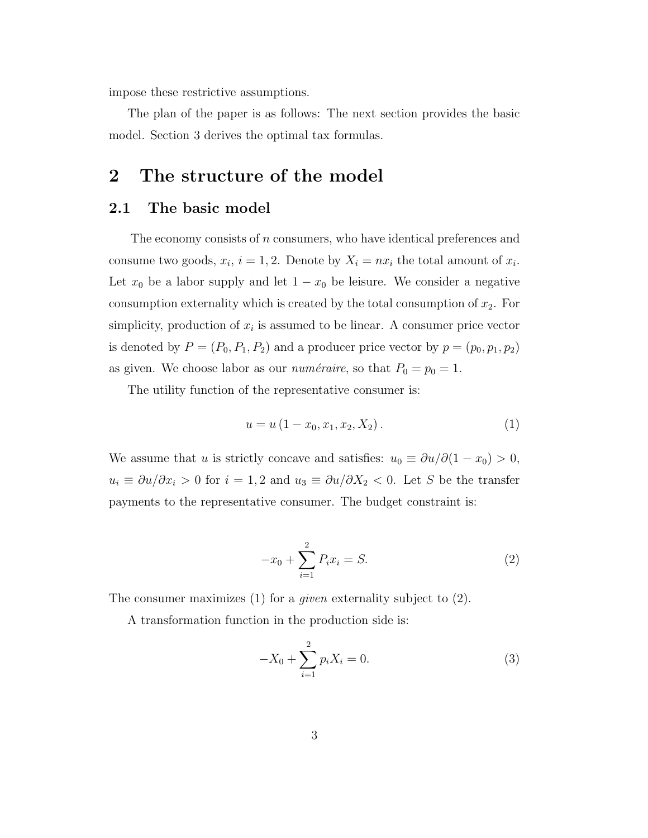impose these restrictive assumptions.

The plan of the paper is as follows: The next section provides the basic model. Section 3 derives the optimal tax formulas.

## **2 The structure of the model**

#### **2.1 The basic model**

The economy consists of *n* consumers, who have identical preferences and consume two goods,  $x_i$ ,  $i = 1, 2$ . Denote by  $X_i = nx_i$  the total amount of  $x_i$ . Let  $x_0$  be a labor supply and let  $1 - x_0$  be leisure. We consider a negative consumption externality which is created by the total consumption of  $x_2$ . For simplicity, production of  $x_i$  is assumed to be linear. A consumer price vector is denoted by  $P = (P_0, P_1, P_2)$  and a producer price vector by  $p = (p_0, p_1, p_2)$ as given. We choose labor as our *numéraire*, so that  $P_0 = p_0 = 1$ .

The utility function of the representative consumer is:

$$
u = u(1 - x_0, x_1, x_2, X_2).
$$
 (1)

We assume that u is strictly concave and satisfies:  $u_0 \equiv \partial u / \partial (1 - x_0) > 0$ ,  $u_i \equiv \partial u/\partial x_i > 0$  for  $i = 1, 2$  and  $u_3 \equiv \partial u/\partial X_2 < 0$ . Let S be the transfer payments to the representative consumer. The budget constraint is:

$$
-x_0 + \sum_{i=1}^{2} P_i x_i = S.
$$
 (2)

The consumer maximizes (1) for a *given* externality subject to (2).

A transformation function in the production side is:

$$
-X_0 + \sum_{i=1}^{2} p_i X_i = 0.
$$
 (3)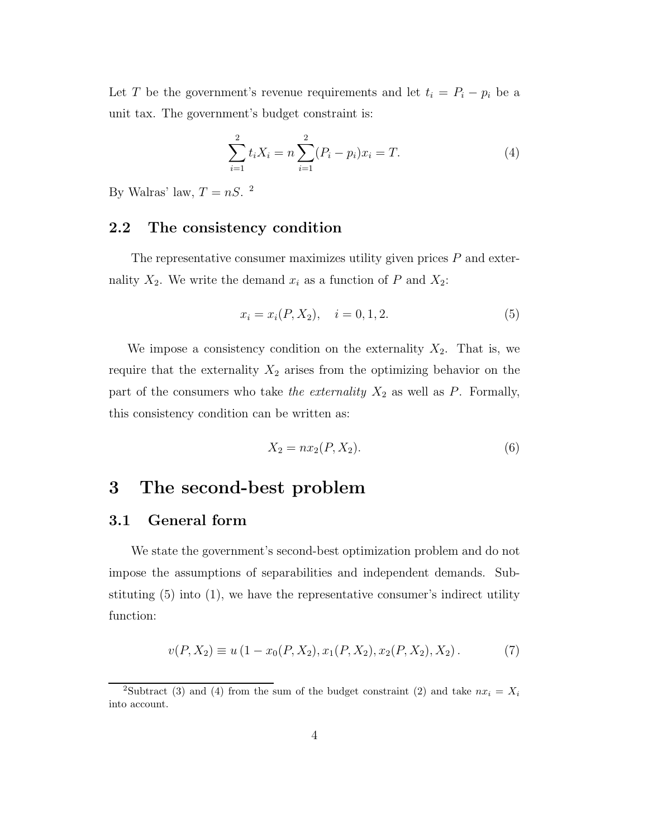Let T be the government's revenue requirements and let  $t_i = P_i - p_i$  be a unit tax. The government's budget constraint is:

$$
\sum_{i=1}^{2} t_i X_i = n \sum_{i=1}^{2} (P_i - p_i) x_i = T.
$$
 (4)

By Walras' law,  $T = nS$ . <sup>2</sup>

#### **2.2 The consistency condition**

The representative consumer maximizes utility given prices  $P$  and externality  $X_2$ . We write the demand  $x_i$  as a function of P and  $X_2$ :

$$
x_i = x_i(P, X_2), \quad i = 0, 1, 2. \tag{5}
$$

We impose a consistency condition on the externality  $X_2$ . That is, we require that the externality  $X_2$  arises from the optimizing behavior on the part of the consumers who take *the externality*  $X_2$  as well as  $P$ . Formally, this consistency condition can be written as:

$$
X_2 = nx_2(P, X_2). \t\t(6)
$$

### **3 The second-best problem**

### **3.1 General form**

We state the government's second-best optimization problem and do not impose the assumptions of separabilities and independent demands. Substituting (5) into (1), we have the representative consumer's indirect utility function:

$$
v(P, X_2) \equiv u\left(1 - x_0(P, X_2), x_1(P, X_2), x_2(P, X_2), X_2\right). \tag{7}
$$

<sup>&</sup>lt;sup>2</sup>Subtract (3) and (4) from the sum of the budget constraint (2) and take  $nx_i = X_i$ into account.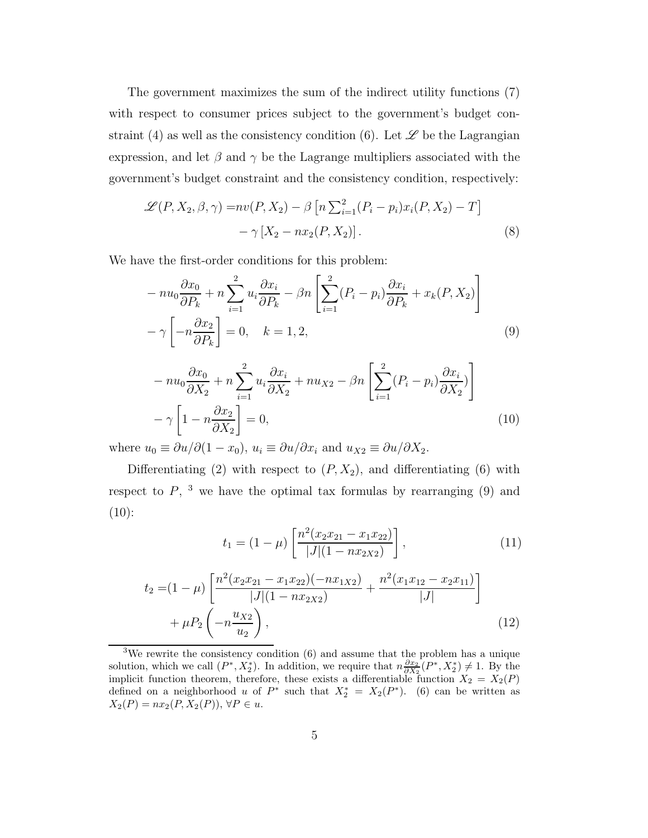The government maximizes the sum of the indirect utility functions (7) with respect to consumer prices subject to the government's budget constraint (4) as well as the consistency condition (6). Let  $\mathscr L$  be the Lagrangian expression, and let  $\beta$  and  $\gamma$  be the Lagrange multipliers associated with the government's budget constraint and the consistency condition, respectively:

$$
\mathcal{L}(P, X_2, \beta, \gamma) = nv(P, X_2) - \beta \left[ n \sum_{i=1}^2 (P_i - p_i) x_i (P, X_2) - T \right] - \gamma \left[ X_2 - nx_2 (P, X_2) \right].
$$
\n(8)

We have the first-order conditions for this problem:

$$
-nu_0 \frac{\partial x_0}{\partial P_k} + n \sum_{i=1}^2 u_i \frac{\partial x_i}{\partial P_k} - \beta n \left[ \sum_{i=1}^2 (P_i - p_i) \frac{\partial x_i}{\partial P_k} + x_k (P, X_2) \right]
$$

$$
-\gamma \left[ -n \frac{\partial x_2}{\partial P_k} \right] = 0, \quad k = 1, 2,
$$
 (9)

$$
-nu_0 \frac{\partial x_0}{\partial X_2} + n \sum_{i=1}^2 u_i \frac{\partial x_i}{\partial X_2} + n u_{X2} - \beta n \left[ \sum_{i=1}^2 (P_i - p_i) \frac{\partial x_i}{\partial X_2} \right] - \gamma \left[ 1 - n \frac{\partial x_2}{\partial X_2} \right] = 0,
$$
\n(10)

where  $u_0 \equiv \partial u / \partial (1 - x_0)$ ,  $u_i \equiv \partial u / \partial x_i$  and  $u_{X2} \equiv \partial u / \partial X_2$ .

Differentiating (2) with respect to  $(P, X_2)$ , and differentiating (6) with respect to  $P$ , <sup>3</sup> we have the optimal tax formulas by rearranging (9) and  $(10)$ :

$$
t_1 = (1 - \mu) \left[ \frac{n^2 (x_2 x_{21} - x_1 x_{22})}{|J| (1 - nx_{2X2})} \right],
$$
\n(11)

$$
t_2 = (1 - \mu) \left[ \frac{n^2 (x_2 x_{21} - x_1 x_{22}) (-nx_{1X2})}{|J| (1 - nx_{2X2})} + \frac{n^2 (x_1 x_{12} - x_2 x_{11})}{|J|} \right] + \mu P_2 \left( -n \frac{u_{X2}}{u_2} \right),
$$
\n(12)

<sup>&</sup>lt;sup>3</sup>We rewrite the consistency condition  $(6)$  and assume that the problem has a unique solution, which we call  $(P^*, X_2^*)$ . In addition, we require that  $n \frac{\partial x_2}{\partial X_2}(P^*, X_2^*) \neq 1$ . By the implicit function theorem, therefore, these exists a differentiable function  $X_2 = X_2(P)$ defined on a neighborhood *u* of  $P^*$  such that  $X_2^* = X_2(P^*)$ . (6) can be written as *X*<sub>2</sub>(*P*) =  $nx_2(P, X_2(P))$ , ∀*P* ∈ *u*.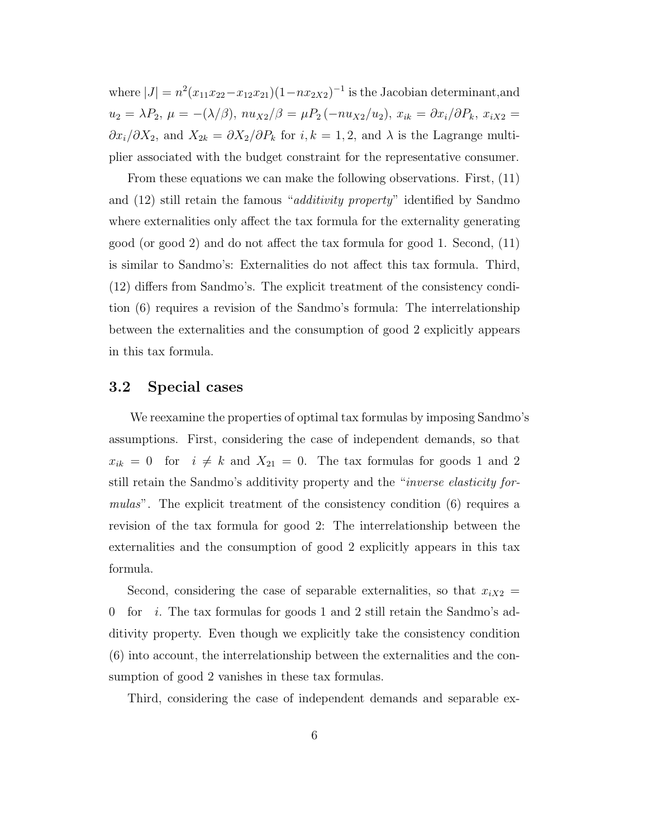where  $|J| = n^2(x_{11}x_{22}-x_{12}x_{21})(1-nx_{2X2})^{-1}$  is the Jacobian determinant, and  $u_2 = \lambda P_2, \ \mu = -(\lambda/\beta), \ nu_{X2}/\beta = \mu P_2(-nu_{X2}/u_2), \ x_{ik} = \partial x_i/\partial P_k, \ x_{iX2} =$  $\partial x_i/\partial X_2$ , and  $X_{2k} = \partial X_2/\partial P_k$  for  $i, k = 1, 2$ , and  $\lambda$  is the Lagrange multiplier associated with the budget constraint for the representative consumer.

From these equations we can make the following observations. First, (11) and (12) still retain the famous "*additivity property*" identified by Sandmo where externalities only affect the tax formula for the externality generating good (or good 2) and do not affect the tax formula for good 1. Second, (11) is similar to Sandmo's: Externalities do not affect this tax formula. Third, (12) differs from Sandmo's. The explicit treatment of the consistency condition (6) requires a revision of the Sandmo's formula: The interrelationship between the externalities and the consumption of good 2 explicitly appears in this tax formula.

#### **3.2 Special cases**

We reexamine the properties of optimal tax formulas by imposing Sandmo's assumptions. First, considering the case of independent demands, so that  $x_{ik} = 0$  for  $i \neq k$  and  $X_{21} = 0$ . The tax formulas for goods 1 and 2 still retain the Sandmo's additivity property and the "*inverse elasticity formulas*". The explicit treatment of the consistency condition (6) requires a revision of the tax formula for good 2: The interrelationship between the externalities and the consumption of good 2 explicitly appears in this tax formula.

Second, considering the case of separable externalities, so that  $x_{iX2} =$ 0 for *i*. The tax formulas for goods 1 and 2 still retain the Sandmo's additivity property. Even though we explicitly take the consistency condition (6) into account, the interrelationship between the externalities and the consumption of good 2 vanishes in these tax formulas.

Third, considering the case of independent demands and separable ex-